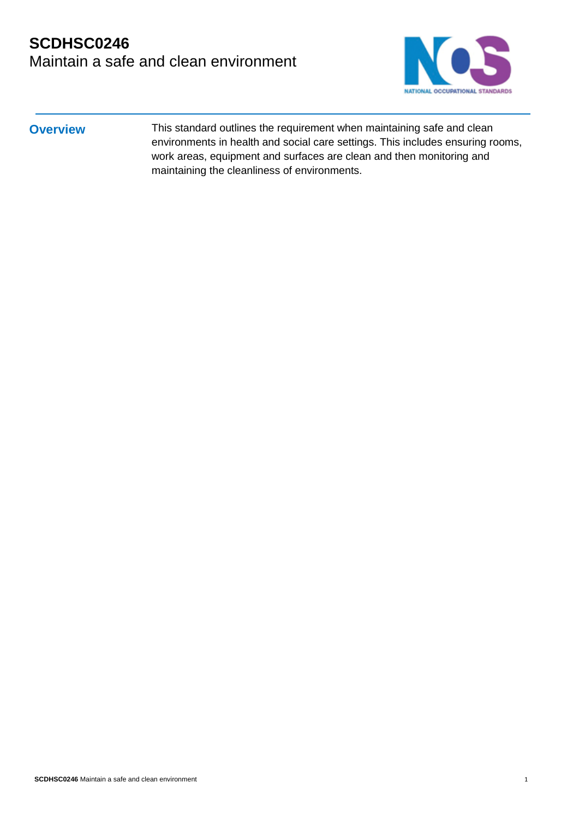## **SCDHSC0246** Maintain a safe and clean environment



**Overview** This standard outlines the requirement when maintaining safe and clean environments in health and social care settings. This includes ensuring rooms, work areas, equipment and surfaces are clean and then monitoring and maintaining the cleanliness of environments.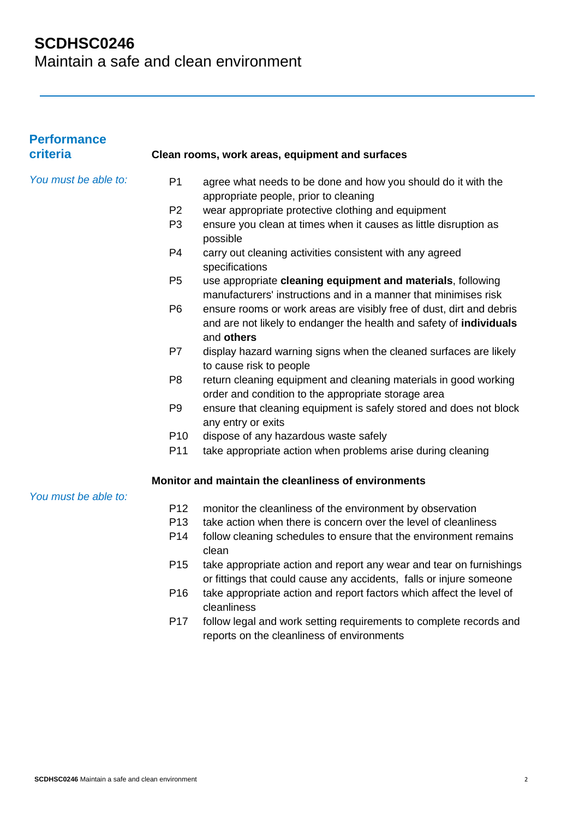| <b>Performance</b><br>criteria |                 | Clean rooms, work areas, equipment and surfaces                                                                                                           |
|--------------------------------|-----------------|-----------------------------------------------------------------------------------------------------------------------------------------------------------|
| You must be able to:           | P <sub>1</sub>  | agree what needs to be done and how you should do it with the<br>appropriate people, prior to cleaning                                                    |
|                                | P <sub>2</sub>  | wear appropriate protective clothing and equipment                                                                                                        |
|                                | P <sub>3</sub>  | ensure you clean at times when it causes as little disruption as<br>possible                                                                              |
|                                | P <sub>4</sub>  | carry out cleaning activities consistent with any agreed<br>specifications                                                                                |
|                                | P <sub>5</sub>  | use appropriate cleaning equipment and materials, following<br>manufacturers' instructions and in a manner that minimises risk                            |
|                                | P <sub>6</sub>  | ensure rooms or work areas are visibly free of dust, dirt and debris<br>and are not likely to endanger the health and safety of individuals<br>and others |
|                                | P7              | display hazard warning signs when the cleaned surfaces are likely<br>to cause risk to people                                                              |
|                                | P <sub>8</sub>  | return cleaning equipment and cleaning materials in good working<br>order and condition to the appropriate storage area                                   |
|                                | P <sub>9</sub>  | ensure that cleaning equipment is safely stored and does not block<br>any entry or exits                                                                  |
|                                | P <sub>10</sub> | dispose of any hazardous waste safely                                                                                                                     |
|                                | P11             | take appropriate action when problems arise during cleaning                                                                                               |
|                                |                 | Monitor and maintain the cleanliness of environments                                                                                                      |
| You must be able to:           | P <sub>12</sub> | monitor the cleanliness of the environment by observation                                                                                                 |
|                                | P <sub>13</sub> | take action when there is concern over the level of cleanliness                                                                                           |
|                                | P <sub>14</sub> | follow cleaning schedules to ensure that the environment remains<br>clean                                                                                 |
|                                | P <sub>15</sub> | take appropriate action and report any wear and tear on furnishings<br>or fittings that could cause any accidents, falls or injure someone                |
|                                | P <sub>16</sub> | take appropriate action and report factors which affect the level of<br>cleanliness                                                                       |
|                                | P <sub>17</sub> | follow legal and work setting requirements to complete records and<br>reports on the cleanliness of environments                                          |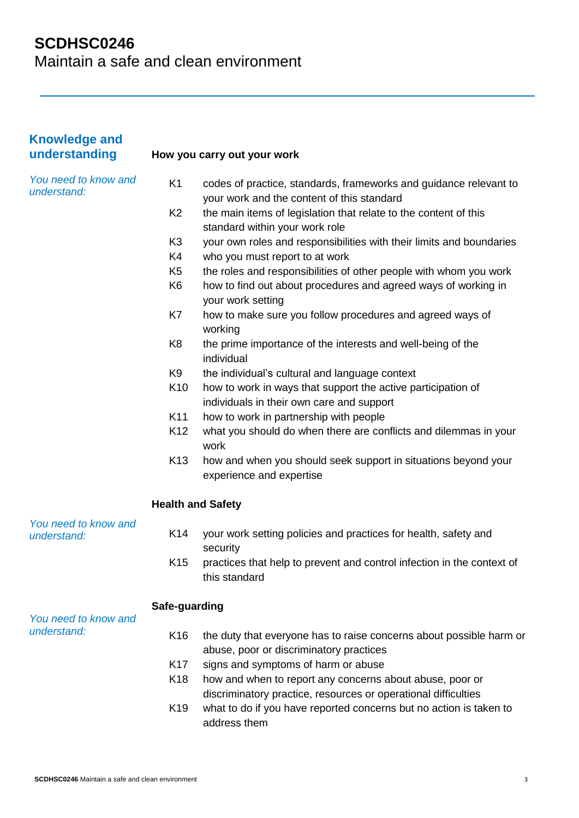| <b>Knowledge and</b><br>understanding |                          | How you carry out your work                                                                                                |
|---------------------------------------|--------------------------|----------------------------------------------------------------------------------------------------------------------------|
| You need to know and<br>understand:   | K <sub>1</sub>           | codes of practice, standards, frameworks and guidance relevant to<br>your work and the content of this standard            |
|                                       | K <sub>2</sub>           | the main items of legislation that relate to the content of this<br>standard within your work role                         |
|                                       | K <sub>3</sub>           | your own roles and responsibilities with their limits and boundaries                                                       |
|                                       | K4                       | who you must report to at work                                                                                             |
|                                       | K <sub>5</sub>           | the roles and responsibilities of other people with whom you work                                                          |
|                                       | K <sub>6</sub>           | how to find out about procedures and agreed ways of working in<br>your work setting                                        |
|                                       | K7                       | how to make sure you follow procedures and agreed ways of<br>working                                                       |
|                                       | K <sub>8</sub>           | the prime importance of the interests and well-being of the<br>individual                                                  |
|                                       | K <sub>9</sub>           | the individual's cultural and language context                                                                             |
|                                       | K <sub>10</sub>          | how to work in ways that support the active participation of<br>individuals in their own care and support                  |
|                                       | K11                      | how to work in partnership with people                                                                                     |
|                                       | K <sub>12</sub>          | what you should do when there are conflicts and dilemmas in your<br>work                                                   |
|                                       | K <sub>13</sub>          | how and when you should seek support in situations beyond your<br>experience and expertise                                 |
|                                       | <b>Health and Safety</b> |                                                                                                                            |
| You need to know and<br>understand:   | K14                      | your work setting policies and practices for health, safety and<br>security                                                |
|                                       | K <sub>15</sub>          | practices that help to prevent and control infection in the context of<br>this standard                                    |
| You need to know and                  | Safe-guarding            |                                                                                                                            |
| understand:                           | K <sub>16</sub>          | the duty that everyone has to raise concerns about possible harm or<br>abuse, poor or discriminatory practices             |
|                                       | K <sub>17</sub>          | signs and symptoms of harm or abuse                                                                                        |
|                                       | K <sub>18</sub>          | how and when to report any concerns about abuse, poor or<br>discriminatory practice, resources or operational difficulties |
|                                       | K <sub>19</sub>          | what to do if you have reported concerns but no action is taken to<br>address them                                         |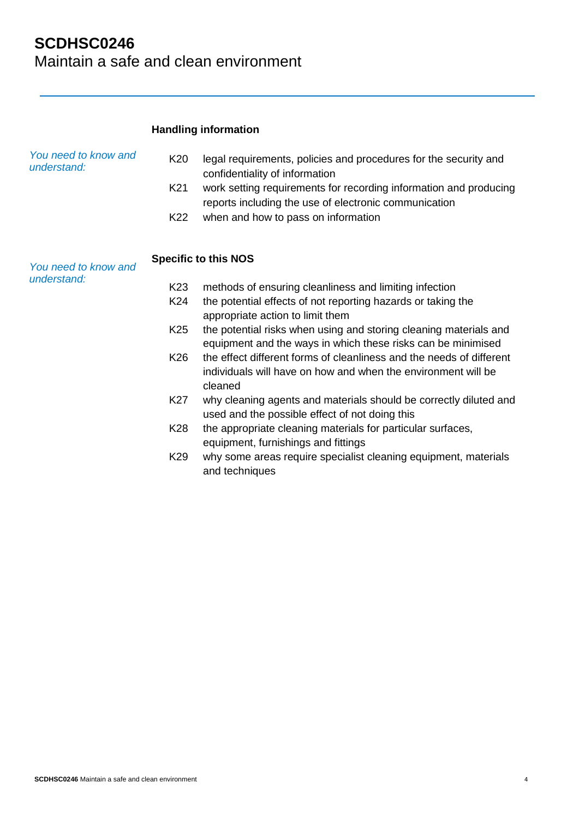## **SCDHSC0246**  Maintain a safe and clean environment

|                                     |                   | <b>Handling information</b>                                                                                                                                                                                                                                             |
|-------------------------------------|-------------------|-------------------------------------------------------------------------------------------------------------------------------------------------------------------------------------------------------------------------------------------------------------------------|
| You need to know and<br>understand: | K20<br>K21<br>K22 | legal requirements, policies and procedures for the security and<br>confidentiality of information<br>work setting requirements for recording information and producing<br>reports including the use of electronic communication<br>when and how to pass on information |
| You need to know and                |                   | <b>Specific to this NOS</b>                                                                                                                                                                                                                                             |
| understand:                         | K <sub>23</sub>   | methods of ensuring cleanliness and limiting infection                                                                                                                                                                                                                  |
|                                     | K24               | the potential effects of not reporting hazards or taking the<br>appropriate action to limit them                                                                                                                                                                        |
|                                     | K <sub>25</sub>   | the potential risks when using and storing cleaning materials and<br>equipment and the ways in which these risks can be minimised                                                                                                                                       |
|                                     | K <sub>26</sub>   | the effect different forms of cleanliness and the needs of different<br>individuals will have on how and when the environment will be<br>cleaned                                                                                                                        |
|                                     | K27               | why cleaning agents and materials should be correctly diluted and<br>used and the possible effect of not doing this                                                                                                                                                     |
|                                     | K28               | the appropriate cleaning materials for particular surfaces,<br>equipment, furnishings and fittings                                                                                                                                                                      |
|                                     | K <sub>29</sub>   | why some areas require specialist cleaning equipment, materials<br>and techniques                                                                                                                                                                                       |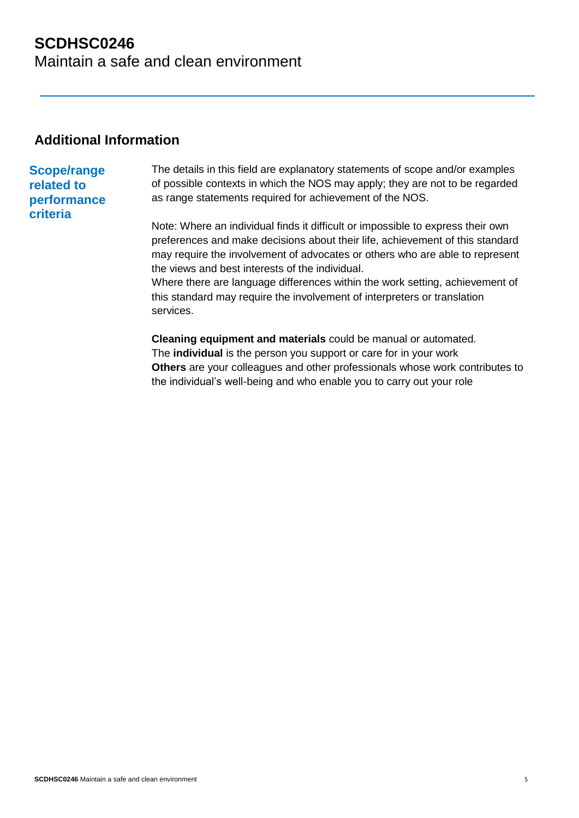## **SCDHSC0246**  Maintain a safe and clean environment

### **Additional Information**

### **Scope/range related to performance criteria**

The details in this field are explanatory statements of scope and/or examples of possible contexts in which the NOS may apply; they are not to be regarded as range statements required for achievement of the NOS.

Note: Where an individual finds it difficult or impossible to express their own preferences and make decisions about their life, achievement of this standard may require the involvement of advocates or others who are able to represent the views and best interests of the individual.

Where there are language differences within the work setting, achievement of this standard may require the involvement of interpreters or translation services.

**Cleaning equipment and materials** could be manual or automated. The **individual** is the person you support or care for in your work **Others** are your colleagues and other professionals whose work contributes to the individual's well-being and who enable you to carry out your role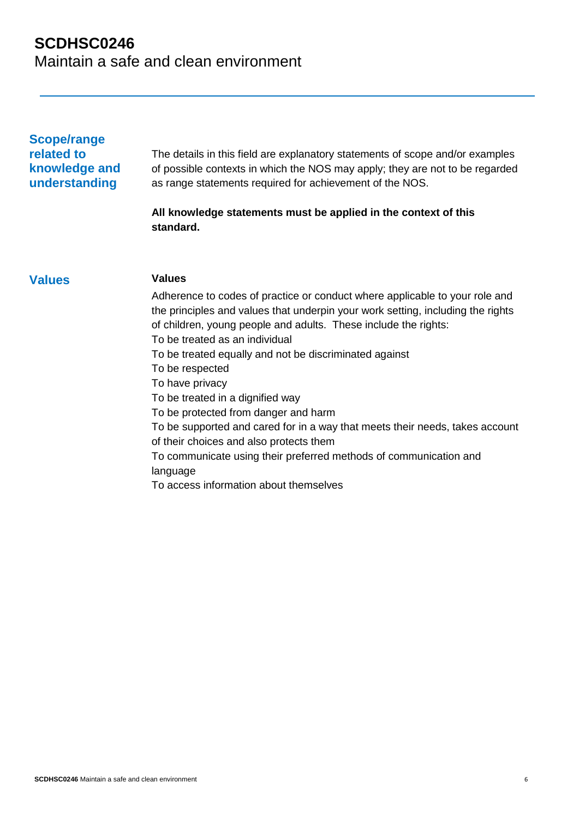| <b>Scope/range</b><br>related to<br>knowledge and<br>understanding | The details in this field are explanatory statements of scope and/or examples<br>of possible contexts in which the NOS may apply; they are not to be regarded<br>as range statements required for achievement of the NOS.                                           |
|--------------------------------------------------------------------|---------------------------------------------------------------------------------------------------------------------------------------------------------------------------------------------------------------------------------------------------------------------|
|                                                                    | All knowledge statements must be applied in the context of this<br>standard.                                                                                                                                                                                        |
| <b>Values</b>                                                      | <b>Values</b>                                                                                                                                                                                                                                                       |
|                                                                    | Adherence to codes of practice or conduct where applicable to your role and<br>the principles and values that underpin your work setting, including the rights<br>of children, young people and adults. These include the rights:<br>To be treated as an individual |
|                                                                    | To be treated equally and not be discriminated against                                                                                                                                                                                                              |
|                                                                    | To be respected<br>To have privacy                                                                                                                                                                                                                                  |
|                                                                    | To be treated in a dignified way                                                                                                                                                                                                                                    |
|                                                                    | To be protected from danger and harm                                                                                                                                                                                                                                |
|                                                                    | To be supported and cared for in a way that meets their needs, takes account                                                                                                                                                                                        |
|                                                                    | of their choices and also protects them                                                                                                                                                                                                                             |
|                                                                    | To communicate using their preferred methods of communication and<br>language                                                                                                                                                                                       |
|                                                                    | To access information about themselves                                                                                                                                                                                                                              |
|                                                                    |                                                                                                                                                                                                                                                                     |